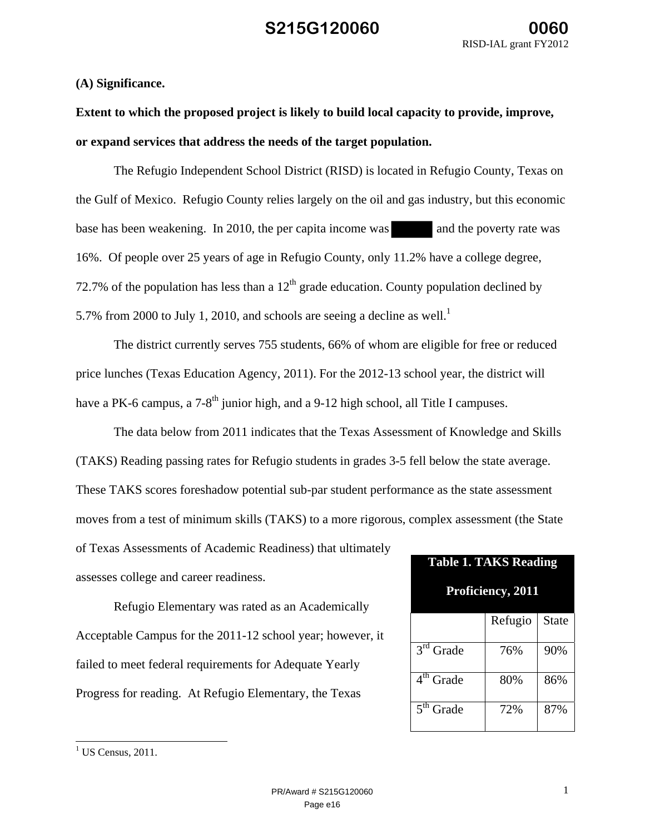### **(A) Significance.**

**Extent to which the proposed project is likely to build local capacity to provide, improve, or expand services that address the needs of the target population.** 

The Refugio Independent School District (RISD) is located in Refugio County, Texas on the Gulf of Mexico. Refugio County relies largely on the oil and gas industry, but this economic base has been weakening. In 2010, the per capita income was and the poverty rate was 16%. Of people over 25 years of age in Refugio County, only 11.2% have a college degree, 72.7% of the population has less than a  $12<sup>th</sup>$  grade education. County population declined by 5.7% from 2000 to July 1, 2010, and schools are seeing a decline as well.<sup>1</sup>

The district currently serves 755 students, 66% of whom are eligible for free or reduced price lunches (Texas Education Agency, 2011). For the 2012-13 school year, the district will have a PK-6 campus, a  $7\text{-}8^{\text{th}}$  junior high, and a 9-12 high school, all Title I campuses.

The data below from 2011 indicates that the Texas Assessment of Knowledge and Skills (TAKS) Reading passing rates for Refugio students in grades 3-5 fell below the state average. These TAKS scores foreshadow potential sub-par student performance as the state assessment moves from a test of minimum skills (TAKS) to a more rigorous, complex assessment (the State of Texas Assessments of Academic Readiness) that ultimately assesses college and career readiness. **Table 1. TAKS Reading** 

Refugio Elementary was rated as an Academically Acceptable Campus for the 2011-12 school year; however, it failed to meet federal requirements for Adequate Yearly Progress for reading. At Refugio Elementary, the Texas

| Table 1. TAKS Reading<br>Proficiency, 2011 |         |              |  |  |
|--------------------------------------------|---------|--------------|--|--|
|                                            | Refugio | <b>State</b> |  |  |
| $\overline{3}^{\text{rd}}$ Grade           | 76%     | 90%          |  |  |
| $4th$ Grade                                | 80%     | 86%          |  |  |
| $\overline{5}$ <sup>th</sup> Grade         | 72%     | 87%          |  |  |

 $\overline{\phantom{a}}$ 

 $1$  US Census, 2011.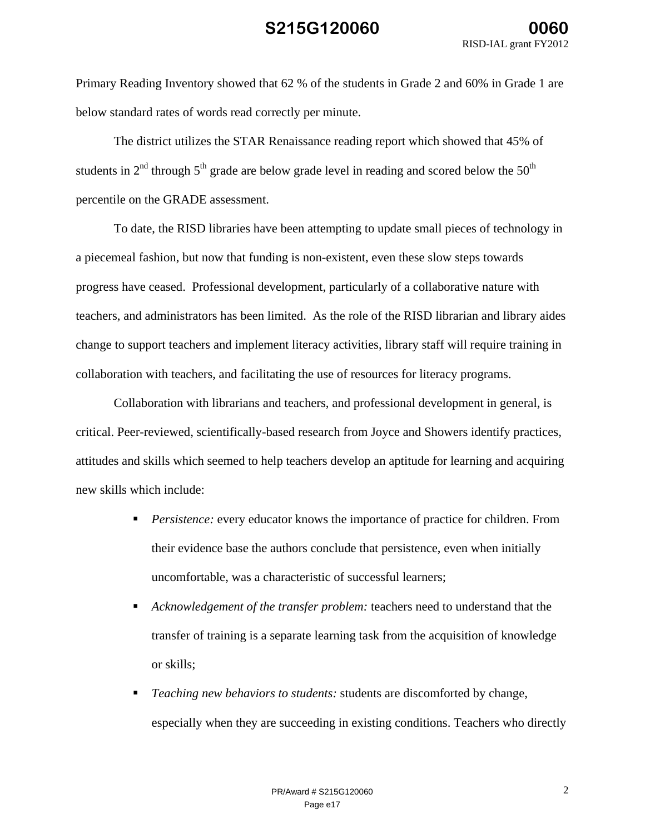Primary Reading Inventory showed that 62 % of the students in Grade 2 and 60% in Grade 1 are below standard rates of words read correctly per minute.

The district utilizes the STAR Renaissance reading report which showed that 45% of students in  $2<sup>nd</sup>$  through  $5<sup>th</sup>$  grade are below grade level in reading and scored below the  $50<sup>th</sup>$ percentile on the GRADE assessment.

To date, the RISD libraries have been attempting to update small pieces of technology in a piecemeal fashion, but now that funding is non-existent, even these slow steps towards progress have ceased. Professional development, particularly of a collaborative nature with teachers, and administrators has been limited. As the role of the RISD librarian and library aides change to support teachers and implement literacy activities, library staff will require training in collaboration with teachers, and facilitating the use of resources for literacy programs.

Collaboration with librarians and teachers, and professional development in general, is critical. Peer-reviewed, scientifically-based research from Joyce and Showers identify practices, attitudes and skills which seemed to help teachers develop an aptitude for learning and acquiring new skills which include:

- **Persistence:** every educator knows the importance of practice for children. From their evidence base the authors conclude that persistence, even when initially uncomfortable, was a characteristic of successful learners;
- *Acknowledgement of the transfer problem:* teachers need to understand that the transfer of training is a separate learning task from the acquisition of knowledge or skills;
- *Teaching new behaviors to students:* students are discomforted by change, especially when they are succeeding in existing conditions. Teachers who directly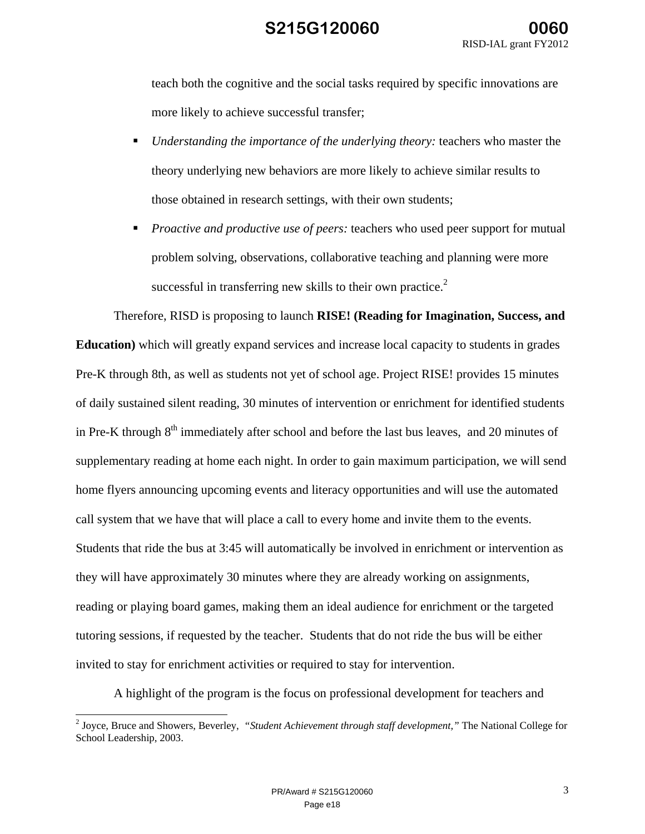teach both the cognitive and the social tasks required by specific innovations are more likely to achieve successful transfer;

- *Understanding the importance of the underlying theory:* teachers who master the theory underlying new behaviors are more likely to achieve similar results to those obtained in research settings, with their own students;
- *Proactive and productive use of peers:* teachers who used peer support for mutual problem solving, observations, collaborative teaching and planning were more successful in transferring new skills to their own practice.<sup>2</sup>

Therefore, RISD is proposing to launch **RISE! (Reading for Imagination, Success, and Education)** which will greatly expand services and increase local capacity to students in grades Pre-K through 8th, as well as students not yet of school age. Project RISE! provides 15 minutes of daily sustained silent reading, 30 minutes of intervention or enrichment for identified students in Pre-K through  $8<sup>th</sup>$  immediately after school and before the last bus leaves, and 20 minutes of supplementary reading at home each night. In order to gain maximum participation, we will send home flyers announcing upcoming events and literacy opportunities and will use the automated call system that we have that will place a call to every home and invite them to the events. Students that ride the bus at 3:45 will automatically be involved in enrichment or intervention as they will have approximately 30 minutes where they are already working on assignments, reading or playing board games, making them an ideal audience for enrichment or the targeted tutoring sessions, if requested by the teacher. Students that do not ride the bus will be either invited to stay for enrichment activities or required to stay for intervention.

A highlight of the program is the focus on professional development for teachers and

 2 Joyce, Bruce and Showers, Beverley, *"Student Achievement through staff development,"* The National College for School Leadership, 2003.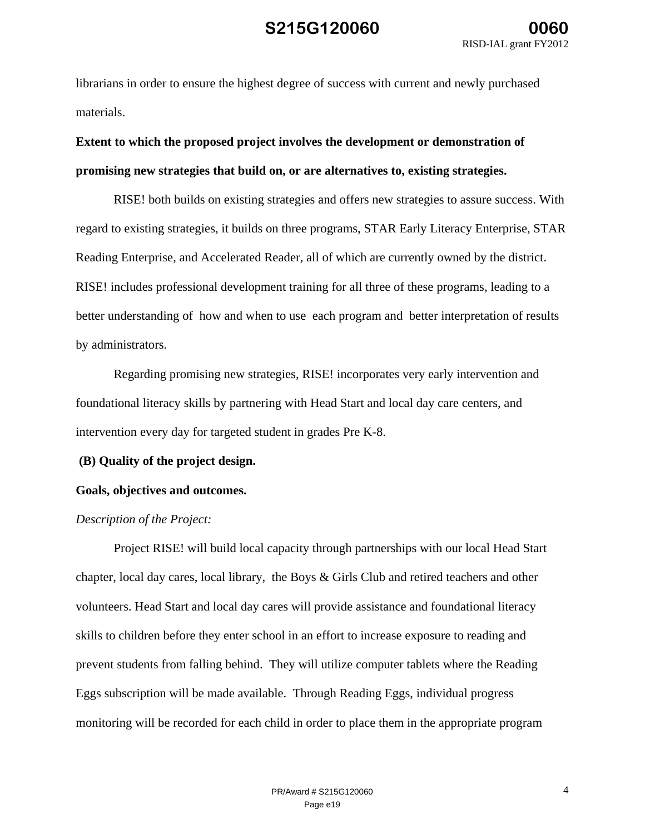librarians in order to ensure the highest degree of success with current and newly purchased materials.

# **Extent to which the proposed project involves the development or demonstration of promising new strategies that build on, or are alternatives to, existing strategies.**

RISE! both builds on existing strategies and offers new strategies to assure success. With regard to existing strategies, it builds on three programs, STAR Early Literacy Enterprise, STAR Reading Enterprise, and Accelerated Reader, all of which are currently owned by the district. RISE! includes professional development training for all three of these programs, leading to a better understanding of how and when to use each program and better interpretation of results by administrators.

Regarding promising new strategies, RISE! incorporates very early intervention and foundational literacy skills by partnering with Head Start and local day care centers, and intervention every day for targeted student in grades Pre K-8.

### **(B) Quality of the project design.**

### **Goals, objectives and outcomes.**

### *Description of the Project:*

Project RISE! will build local capacity through partnerships with our local Head Start chapter, local day cares, local library, the Boys & Girls Club and retired teachers and other volunteers. Head Start and local day cares will provide assistance and foundational literacy skills to children before they enter school in an effort to increase exposure to reading and prevent students from falling behind. They will utilize computer tablets where the Reading Eggs subscription will be made available. Through Reading Eggs, individual progress monitoring will be recorded for each child in order to place them in the appropriate program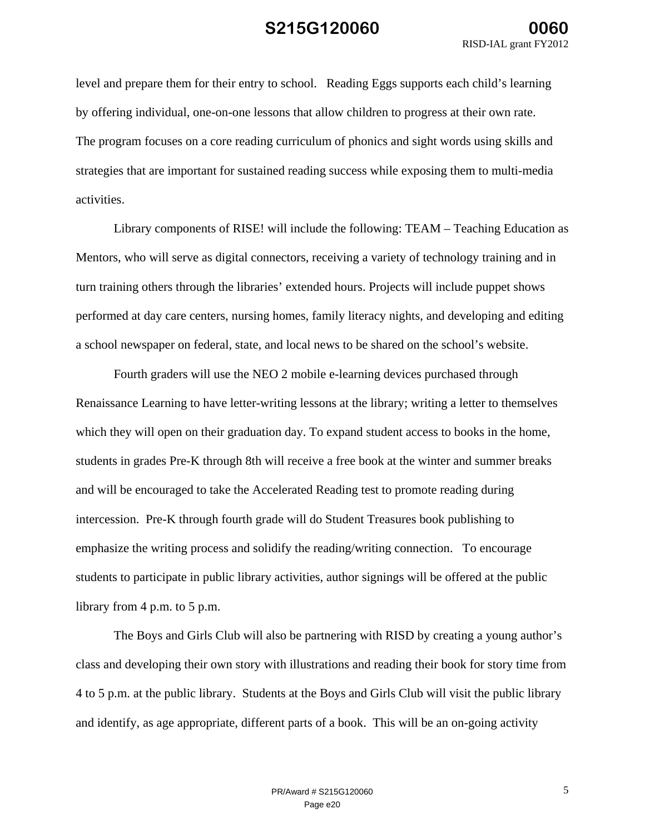level and prepare them for their entry to school. Reading Eggs supports each child's learning by offering individual, one-on-one lessons that allow children to progress at their own rate. The program focuses on a core reading curriculum of phonics and sight words using skills and strategies that are important for sustained reading success while exposing them to multi-media activities.

Library components of RISE! will include the following: TEAM – Teaching Education as Mentors, who will serve as digital connectors, receiving a variety of technology training and in turn training others through the libraries' extended hours. Projects will include puppet shows performed at day care centers, nursing homes, family literacy nights, and developing and editing a school newspaper on federal, state, and local news to be shared on the school's website.

Fourth graders will use the NEO 2 mobile e-learning devices purchased through Renaissance Learning to have letter-writing lessons at the library; writing a letter to themselves which they will open on their graduation day. To expand student access to books in the home, students in grades Pre-K through 8th will receive a free book at the winter and summer breaks and will be encouraged to take the Accelerated Reading test to promote reading during intercession. Pre-K through fourth grade will do Student Treasures book publishing to emphasize the writing process and solidify the reading/writing connection. To encourage students to participate in public library activities, author signings will be offered at the public library from 4 p.m. to 5 p.m.

The Boys and Girls Club will also be partnering with RISD by creating a young author's class and developing their own story with illustrations and reading their book for story time from 4 to 5 p.m. at the public library. Students at the Boys and Girls Club will visit the public library and identify, as age appropriate, different parts of a book. This will be an on-going activity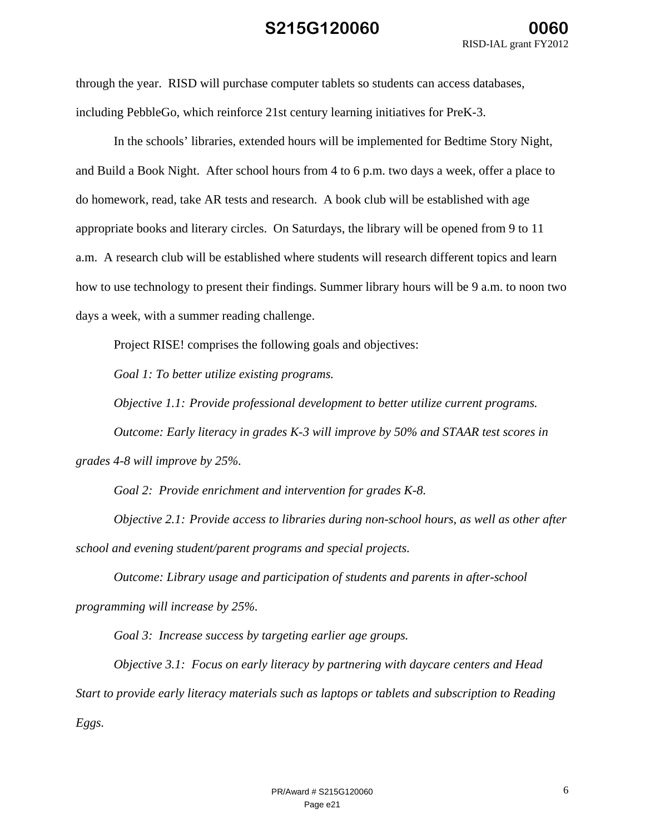through the year. RISD will purchase computer tablets so students can access databases, including PebbleGo, which reinforce 21st century learning initiatives for PreK-3.

In the schools' libraries, extended hours will be implemented for Bedtime Story Night, and Build a Book Night. After school hours from 4 to 6 p.m. two days a week, offer a place to do homework, read, take AR tests and research. A book club will be established with age appropriate books and literary circles. On Saturdays, the library will be opened from 9 to 11 a.m. A research club will be established where students will research different topics and learn how to use technology to present their findings. Summer library hours will be 9 a.m. to noon two days a week, with a summer reading challenge.

Project RISE! comprises the following goals and objectives:

*Goal 1: To better utilize existing programs.* 

*Objective 1.1: Provide professional development to better utilize current programs.* 

*Outcome: Early literacy in grades K-3 will improve by 50% and STAAR test scores in grades 4-8 will improve by 25%.* 

*Goal 2: Provide enrichment and intervention for grades K-8.* 

*Objective 2.1: Provide access to libraries during non-school hours, as well as other after school and evening student/parent programs and special projects.* 

*Outcome: Library usage and participation of students and parents in after-school programming will increase by 25%.* 

*Goal 3: Increase success by targeting earlier age groups.* 

*Objective 3.1: Focus on early literacy by partnering with daycare centers and Head Start to provide early literacy materials such as laptops or tablets and subscription to Reading Eggs.*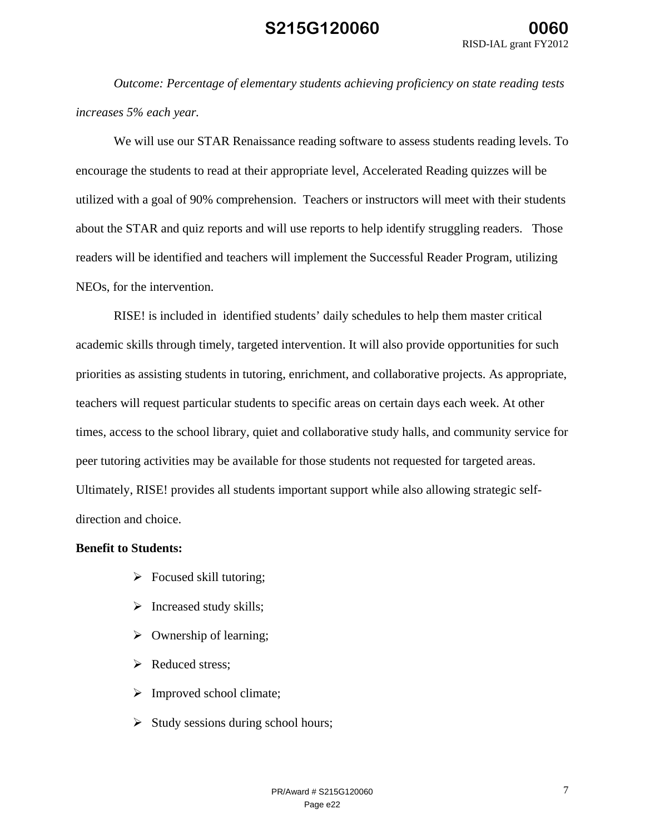*Outcome: Percentage of elementary students achieving proficiency on state reading tests increases 5% each year.* 

We will use our STAR Renaissance reading software to assess students reading levels. To encourage the students to read at their appropriate level, Accelerated Reading quizzes will be utilized with a goal of 90% comprehension. Teachers or instructors will meet with their students about the STAR and quiz reports and will use reports to help identify struggling readers. Those readers will be identified and teachers will implement the Successful Reader Program, utilizing NEOs, for the intervention.

RISE! is included in identified students' daily schedules to help them master critical academic skills through timely, targeted intervention. It will also provide opportunities for such priorities as assisting students in tutoring, enrichment, and collaborative projects. As appropriate, teachers will request particular students to specific areas on certain days each week. At other times, access to the school library, quiet and collaborative study halls, and community service for peer tutoring activities may be available for those students not requested for targeted areas. Ultimately, RISE! provides all students important support while also allowing strategic selfdirection and choice.

#### **Benefit to Students:**

- $\triangleright$  Focused skill tutoring;
- $\triangleright$  Increased study skills;
- $\triangleright$  Ownership of learning;
- $\triangleright$  Reduced stress;
- $\triangleright$  Improved school climate;
- $\triangleright$  Study sessions during school hours;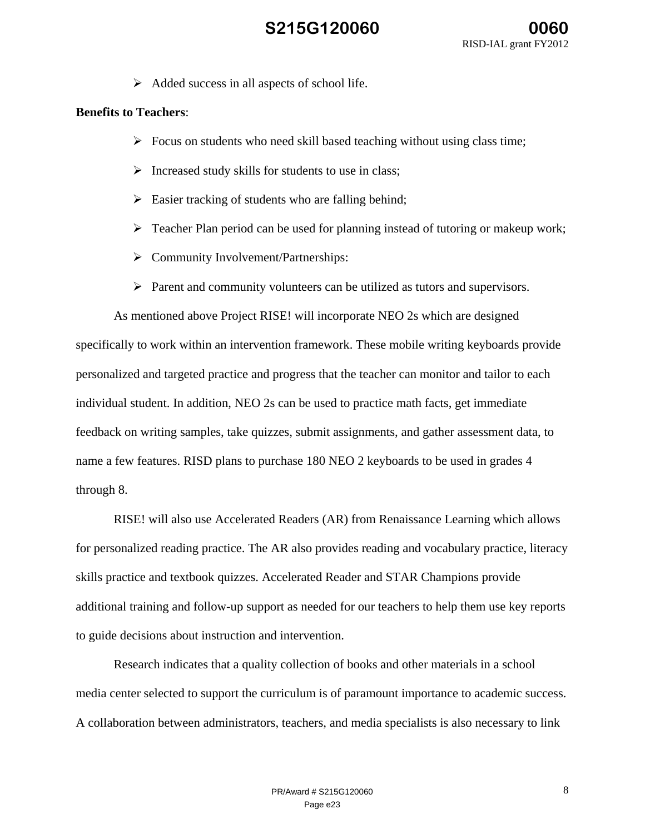$\triangleright$  Added success in all aspects of school life.

### **Benefits to Teachers**:

- $\triangleright$  Focus on students who need skill based teaching without using class time;
- $\triangleright$  Increased study skills for students to use in class;
- $\triangleright$  Easier tracking of students who are falling behind;
- $\triangleright$  Teacher Plan period can be used for planning instead of tutoring or makeup work;
- $\triangleright$  Community Involvement/Partnerships:
- $\triangleright$  Parent and community volunteers can be utilized as tutors and supervisors.

As mentioned above Project RISE! will incorporate NEO 2s which are designed specifically to work within an intervention framework. These mobile writing keyboards provide personalized and targeted practice and progress that the teacher can monitor and tailor to each individual student. In addition, NEO 2s can be used to practice math facts, get immediate feedback on writing samples, take quizzes, submit assignments, and gather assessment data, to name a few features. RISD plans to purchase 180 NEO 2 keyboards to be used in grades 4 through 8.

RISE! will also use Accelerated Readers (AR) from Renaissance Learning which allows for personalized reading practice. The AR also provides reading and vocabulary practice, literacy skills practice and textbook quizzes. Accelerated Reader and STAR Champions provide additional training and follow-up support as needed for our teachers to help them use key reports to guide decisions about instruction and intervention.

Research indicates that a quality collection of books and other materials in a school media center selected to support the curriculum is of paramount importance to academic success. A collaboration between administrators, teachers, and media specialists is also necessary to link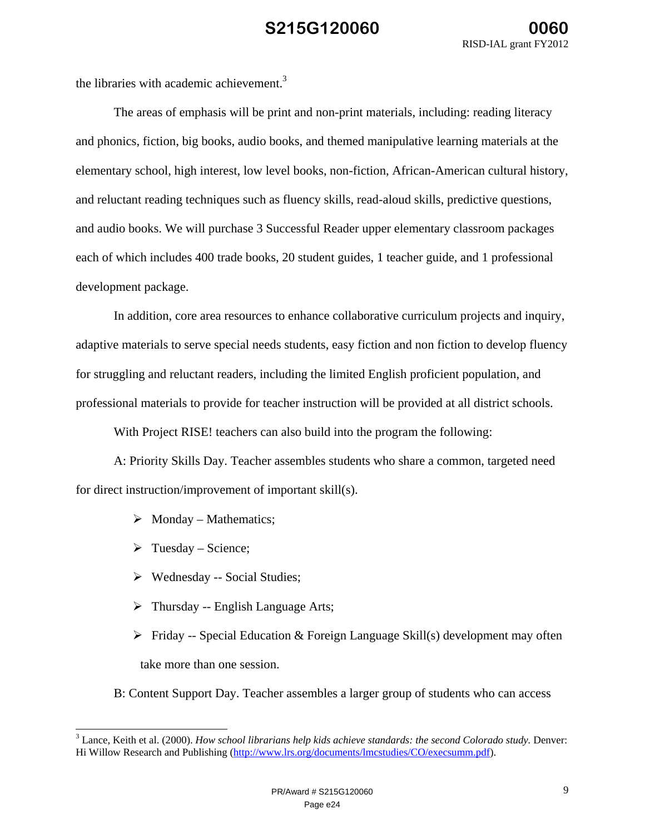the libraries with academic achievement.<sup>3</sup>

The areas of emphasis will be print and non-print materials, including: reading literacy and phonics, fiction, big books, audio books, and themed manipulative learning materials at the elementary school, high interest, low level books, non-fiction, African-American cultural history, and reluctant reading techniques such as fluency skills, read-aloud skills, predictive questions, and audio books. We will purchase 3 Successful Reader upper elementary classroom packages each of which includes 400 trade books, 20 student guides, 1 teacher guide, and 1 professional development package.

In addition, core area resources to enhance collaborative curriculum projects and inquiry, adaptive materials to serve special needs students, easy fiction and non fiction to develop fluency for struggling and reluctant readers, including the limited English proficient population, and professional materials to provide for teacher instruction will be provided at all district schools.

With Project RISE! teachers can also build into the program the following:

A: Priority Skills Day. Teacher assembles students who share a common, targeted need for direct instruction/improvement of important skill(s).

- $\triangleright$  Monday Mathematics;
- $\triangleright$  Tuesday Science;

 $\overline{\phantom{a}}$ 

- Wednesday -- Social Studies;
- $\triangleright$  Thursday -- English Language Arts;
- $\triangleright$  Friday -- Special Education & Foreign Language Skill(s) development may often take more than one session.
- B: Content Support Day. Teacher assembles a larger group of students who can access

<sup>3</sup> Lance, Keith et al. (2000). *How school librarians help kids achieve standards: the second Colorado study.* Denver: Hi Willow Research and Publishing (http://www.lrs.org/documents/lmcstudies/CO/execsumm.pdf).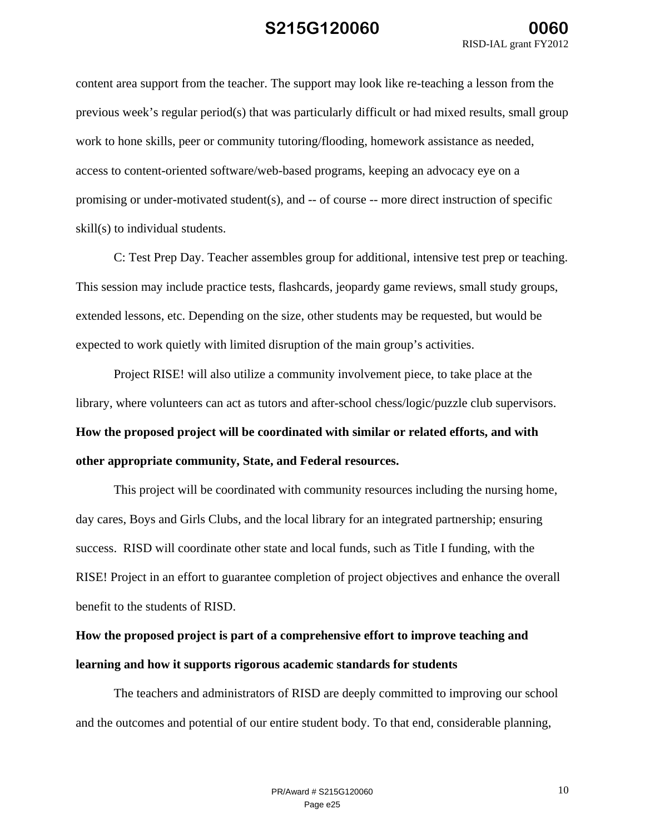content area support from the teacher. The support may look like re-teaching a lesson from the previous week's regular period(s) that was particularly difficult or had mixed results, small group work to hone skills, peer or community tutoring/flooding, homework assistance as needed, access to content-oriented software/web-based programs, keeping an advocacy eye on a promising or under-motivated student(s), and -- of course -- more direct instruction of specific skill(s) to individual students.

C: Test Prep Day. Teacher assembles group for additional, intensive test prep or teaching. This session may include practice tests, flashcards, jeopardy game reviews, small study groups, extended lessons, etc. Depending on the size, other students may be requested, but would be expected to work quietly with limited disruption of the main group's activities.

Project RISE! will also utilize a community involvement piece, to take place at the library, where volunteers can act as tutors and after-school chess/logic/puzzle club supervisors. **How the proposed project will be coordinated with similar or related efforts, and with other appropriate community, State, and Federal resources.** 

This project will be coordinated with community resources including the nursing home, day cares, Boys and Girls Clubs, and the local library for an integrated partnership; ensuring success. RISD will coordinate other state and local funds, such as Title I funding, with the RISE! Project in an effort to guarantee completion of project objectives and enhance the overall benefit to the students of RISD.

# **How the proposed project is part of a comprehensive effort to improve teaching and learning and how it supports rigorous academic standards for students**

The teachers and administrators of RISD are deeply committed to improving our school and the outcomes and potential of our entire student body. To that end, considerable planning,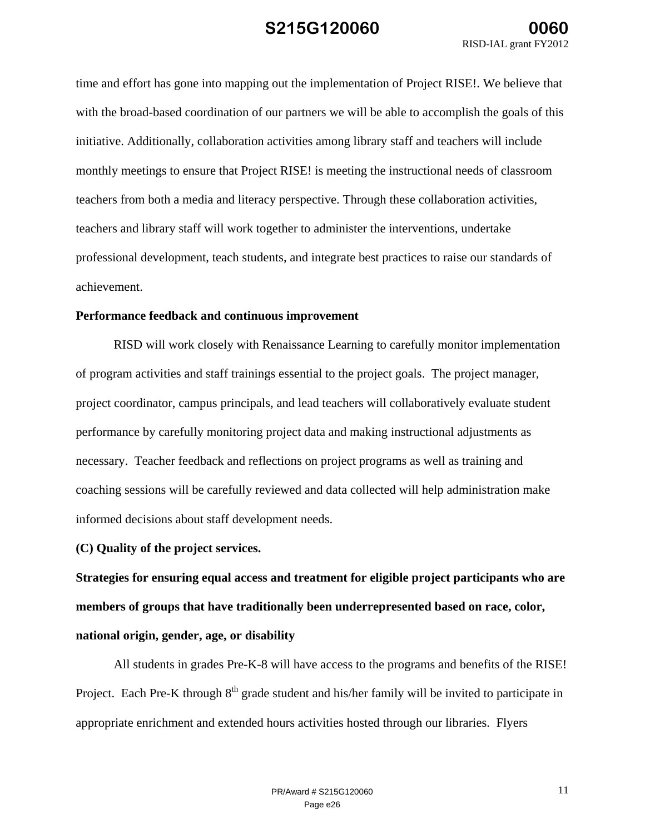time and effort has gone into mapping out the implementation of Project RISE!. We believe that with the broad-based coordination of our partners we will be able to accomplish the goals of this initiative. Additionally, collaboration activities among library staff and teachers will include monthly meetings to ensure that Project RISE! is meeting the instructional needs of classroom teachers from both a media and literacy perspective. Through these collaboration activities, teachers and library staff will work together to administer the interventions, undertake professional development, teach students, and integrate best practices to raise our standards of achievement.

### **Performance feedback and continuous improvement**

RISD will work closely with Renaissance Learning to carefully monitor implementation of program activities and staff trainings essential to the project goals. The project manager, project coordinator, campus principals, and lead teachers will collaboratively evaluate student performance by carefully monitoring project data and making instructional adjustments as necessary. Teacher feedback and reflections on project programs as well as training and coaching sessions will be carefully reviewed and data collected will help administration make informed decisions about staff development needs.

### **(C) Quality of the project services.**

**Strategies for ensuring equal access and treatment for eligible project participants who are members of groups that have traditionally been underrepresented based on race, color, national origin, gender, age, or disability**

 All students in grades Pre-K-8 will have access to the programs and benefits of the RISE! Project. Each Pre-K through  $8<sup>th</sup>$  grade student and his/her family will be invited to participate in appropriate enrichment and extended hours activities hosted through our libraries. Flyers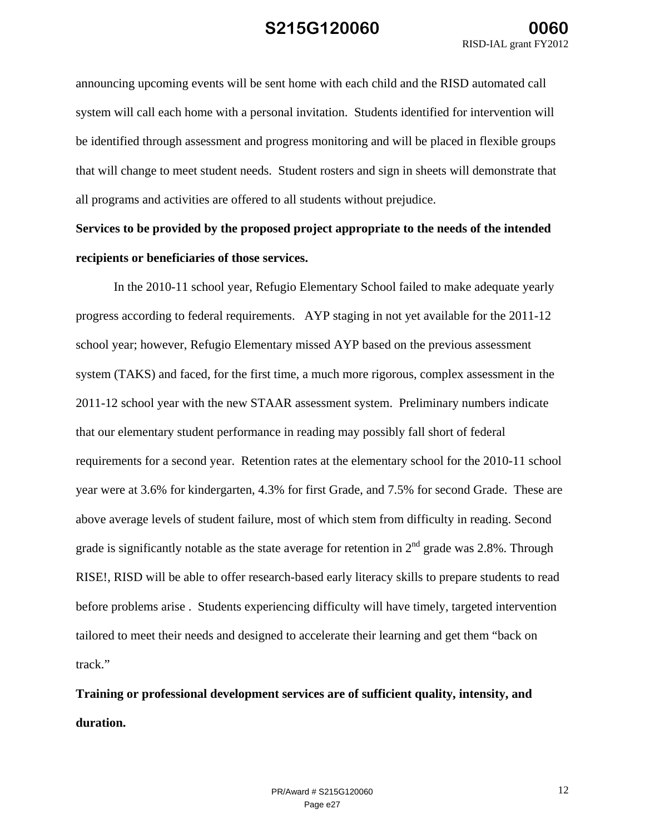announcing upcoming events will be sent home with each child and the RISD automated call system will call each home with a personal invitation. Students identified for intervention will be identified through assessment and progress monitoring and will be placed in flexible groups that will change to meet student needs. Student rosters and sign in sheets will demonstrate that all programs and activities are offered to all students without prejudice.

# **Services to be provided by the proposed project appropriate to the needs of the intended recipients or beneficiaries of those services.**

In the 2010-11 school year, Refugio Elementary School failed to make adequate yearly progress according to federal requirements. AYP staging in not yet available for the 2011-12 school year; however, Refugio Elementary missed AYP based on the previous assessment system (TAKS) and faced, for the first time, a much more rigorous, complex assessment in the 2011-12 school year with the new STAAR assessment system. Preliminary numbers indicate that our elementary student performance in reading may possibly fall short of federal requirements for a second year. Retention rates at the elementary school for the 2010-11 school year were at 3.6% for kindergarten, 4.3% for first Grade, and 7.5% for second Grade. These are above average levels of student failure, most of which stem from difficulty in reading. Second grade is significantly notable as the state average for retention in  $2<sup>nd</sup>$  grade was 2.8%. Through RISE!, RISD will be able to offer research-based early literacy skills to prepare students to read before problems arise . Students experiencing difficulty will have timely, targeted intervention tailored to meet their needs and designed to accelerate their learning and get them "back on track."

**Training or professional development services are of sufficient quality, intensity, and duration.**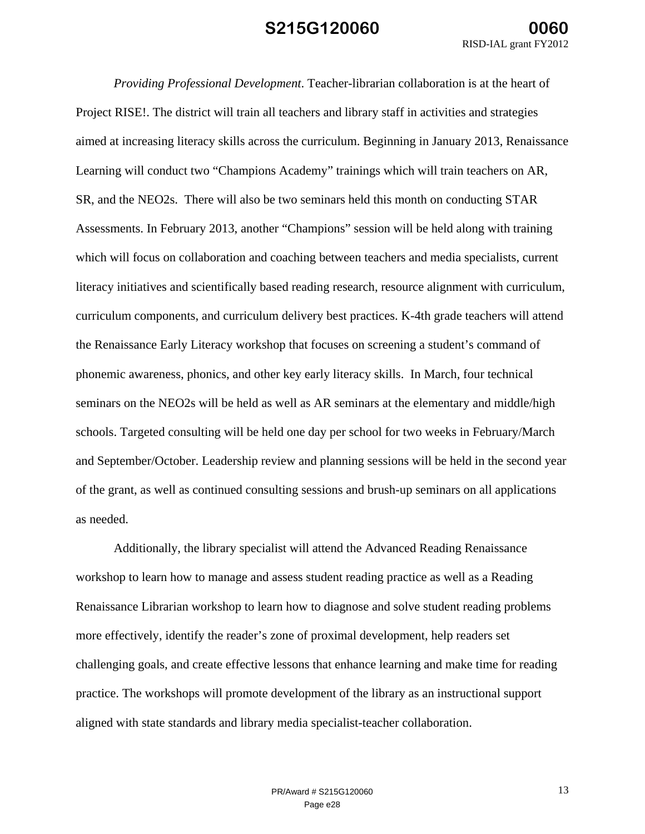*Providing Professional Development*. Teacher-librarian collaboration is at the heart of Project RISE!. The district will train all teachers and library staff in activities and strategies aimed at increasing literacy skills across the curriculum. Beginning in January 2013, Renaissance Learning will conduct two "Champions Academy" trainings which will train teachers on AR, SR, and the NEO2s. There will also be two seminars held this month on conducting STAR Assessments. In February 2013, another "Champions" session will be held along with training which will focus on collaboration and coaching between teachers and media specialists, current literacy initiatives and scientifically based reading research, resource alignment with curriculum, curriculum components, and curriculum delivery best practices. K-4th grade teachers will attend the Renaissance Early Literacy workshop that focuses on screening a student's command of phonemic awareness, phonics, and other key early literacy skills. In March, four technical seminars on the NEO2s will be held as well as AR seminars at the elementary and middle/high schools. Targeted consulting will be held one day per school for two weeks in February/March and September/October. Leadership review and planning sessions will be held in the second year of the grant, as well as continued consulting sessions and brush-up seminars on all applications as needed.

Additionally, the library specialist will attend the Advanced Reading Renaissance workshop to learn how to manage and assess student reading practice as well as a Reading Renaissance Librarian workshop to learn how to diagnose and solve student reading problems more effectively, identify the reader's zone of proximal development, help readers set challenging goals, and create effective lessons that enhance learning and make time for reading practice. The workshops will promote development of the library as an instructional support aligned with state standards and library media specialist-teacher collaboration.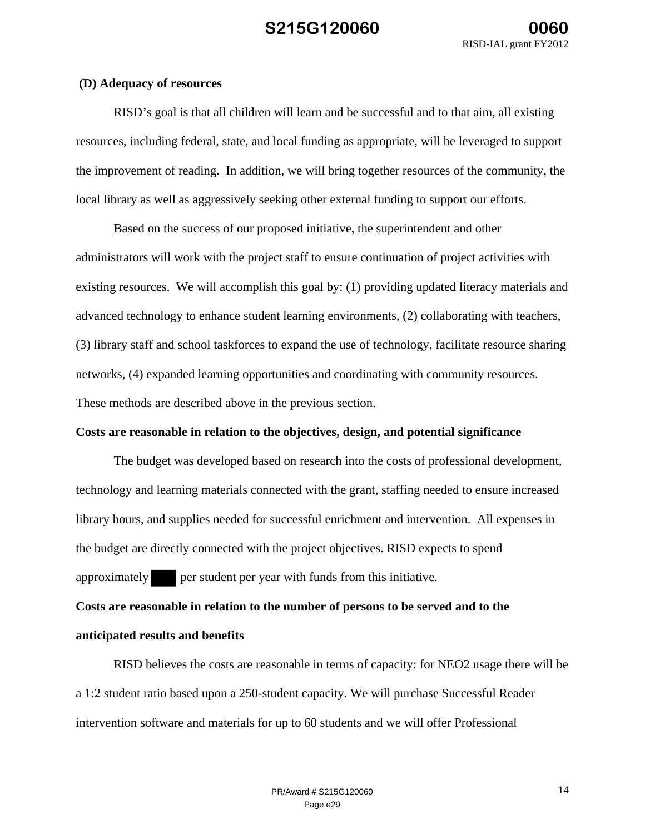#### **(D) Adequacy of resources**

RISD's goal is that all children will learn and be successful and to that aim, all existing resources, including federal, state, and local funding as appropriate, will be leveraged to support the improvement of reading. In addition, we will bring together resources of the community, the local library as well as aggressively seeking other external funding to support our efforts.

Based on the success of our proposed initiative, the superintendent and other administrators will work with the project staff to ensure continuation of project activities with existing resources. We will accomplish this goal by: (1) providing updated literacy materials and advanced technology to enhance student learning environments, (2) collaborating with teachers, (3) library staff and school taskforces to expand the use of technology, facilitate resource sharing networks, (4) expanded learning opportunities and coordinating with community resources. These methods are described above in the previous section.

### **Costs are reasonable in relation to the objectives, design, and potential significance**

The budget was developed based on research into the costs of professional development, technology and learning materials connected with the grant, staffing needed to ensure increased library hours, and supplies needed for successful enrichment and intervention. All expenses in the budget are directly connected with the project objectives. RISD expects to spend approximately per student per year with funds from this initiative.

**Costs are reasonable in relation to the number of persons to be served and to the anticipated results and benefits**

 RISD believes the costs are reasonable in terms of capacity: for NEO2 usage there will be a 1:2 student ratio based upon a 250-student capacity. We will purchase Successful Reader intervention software and materials for up to 60 students and we will offer Professional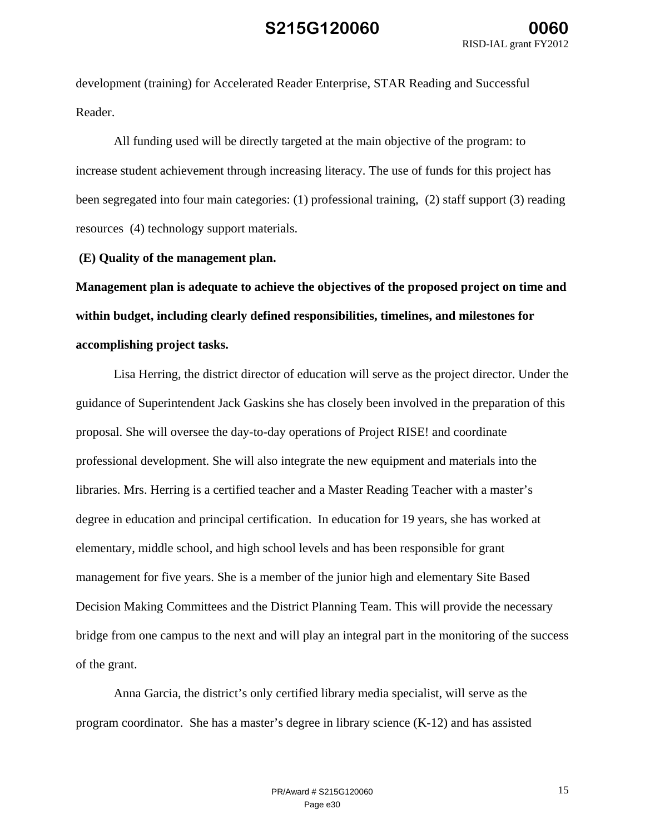development (training) for Accelerated Reader Enterprise, STAR Reading and Successful Reader.

All funding used will be directly targeted at the main objective of the program: to increase student achievement through increasing literacy. The use of funds for this project has been segregated into four main categories: (1) professional training, (2) staff support (3) reading resources (4) technology support materials.

 **(E) Quality of the management plan.** 

**Management plan is adequate to achieve the objectives of the proposed project on time and within budget, including clearly defined responsibilities, timelines, and milestones for accomplishing project tasks.** 

Lisa Herring, the district director of education will serve as the project director. Under the guidance of Superintendent Jack Gaskins she has closely been involved in the preparation of this proposal. She will oversee the day-to-day operations of Project RISE! and coordinate professional development. She will also integrate the new equipment and materials into the libraries. Mrs. Herring is a certified teacher and a Master Reading Teacher with a master's degree in education and principal certification. In education for 19 years, she has worked at elementary, middle school, and high school levels and has been responsible for grant management for five years. She is a member of the junior high and elementary Site Based Decision Making Committees and the District Planning Team. This will provide the necessary bridge from one campus to the next and will play an integral part in the monitoring of the success of the grant.

Anna Garcia, the district's only certified library media specialist, will serve as the program coordinator. She has a master's degree in library science (K-12) and has assisted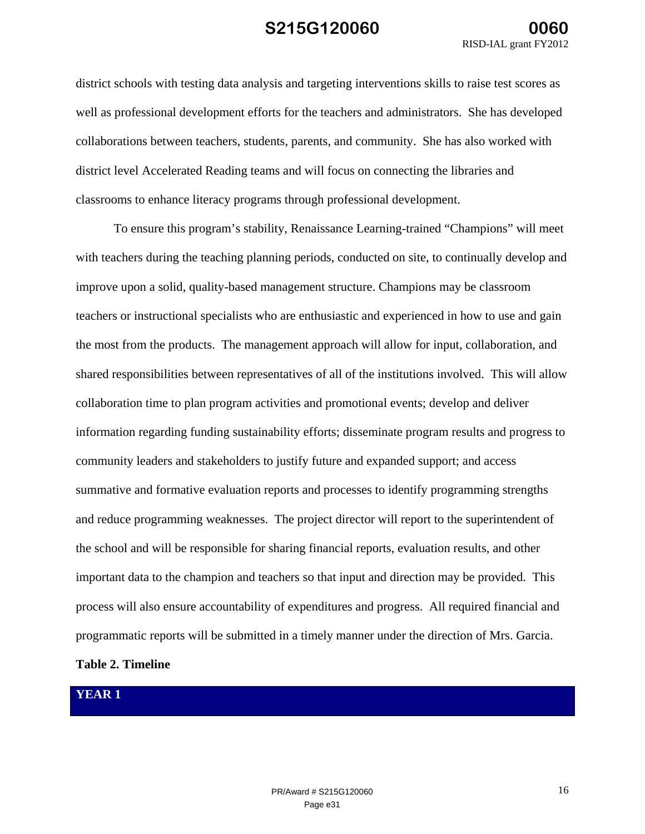district schools with testing data analysis and targeting interventions skills to raise test scores as well as professional development efforts for the teachers and administrators. She has developed collaborations between teachers, students, parents, and community. She has also worked with district level Accelerated Reading teams and will focus on connecting the libraries and classrooms to enhance literacy programs through professional development.

To ensure this program's stability, Renaissance Learning-trained "Champions" will meet with teachers during the teaching planning periods, conducted on site, to continually develop and improve upon a solid, quality-based management structure. Champions may be classroom teachers or instructional specialists who are enthusiastic and experienced in how to use and gain the most from the products. The management approach will allow for input, collaboration, and shared responsibilities between representatives of all of the institutions involved. This will allow collaboration time to plan program activities and promotional events; develop and deliver information regarding funding sustainability efforts; disseminate program results and progress to community leaders and stakeholders to justify future and expanded support; and access summative and formative evaluation reports and processes to identify programming strengths and reduce programming weaknesses. The project director will report to the superintendent of the school and will be responsible for sharing financial reports, evaluation results, and other important data to the champion and teachers so that input and direction may be provided. This process will also ensure accountability of expenditures and progress. All required financial and programmatic reports will be submitted in a timely manner under the direction of Mrs. Garcia.

### **Table 2. Timeline**

### **YEAR 1**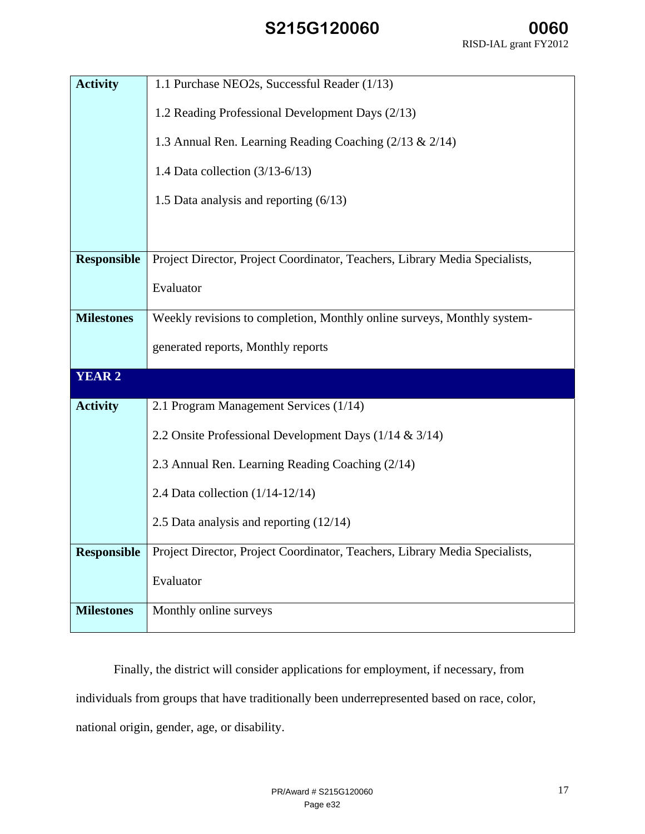| <b>Activity</b>    | 1.1 Purchase NEO2s, Successful Reader (1/13)                                |  |  |
|--------------------|-----------------------------------------------------------------------------|--|--|
|                    |                                                                             |  |  |
|                    | 1.2 Reading Professional Development Days (2/13)                            |  |  |
|                    | 1.3 Annual Ren. Learning Reading Coaching (2/13 & 2/14)                     |  |  |
|                    | 1.4 Data collection $(3/13-6/13)$                                           |  |  |
|                    | 1.5 Data analysis and reporting $(6/13)$                                    |  |  |
|                    |                                                                             |  |  |
| <b>Responsible</b> | Project Director, Project Coordinator, Teachers, Library Media Specialists, |  |  |
|                    |                                                                             |  |  |
|                    | Evaluator                                                                   |  |  |
| <b>Milestones</b>  | Weekly revisions to completion, Monthly online surveys, Monthly system-     |  |  |
|                    | generated reports, Monthly reports                                          |  |  |
|                    |                                                                             |  |  |
| <b>YEAR 2</b>      |                                                                             |  |  |
| <b>Activity</b>    | 2.1 Program Management Services (1/14)                                      |  |  |
|                    | 2.2 Onsite Professional Development Days (1/14 & 3/14)                      |  |  |
|                    | 2.3 Annual Ren. Learning Reading Coaching (2/14)                            |  |  |
|                    | 2.4 Data collection $(1/14-12/14)$                                          |  |  |
|                    | 2.5 Data analysis and reporting $(12/14)$                                   |  |  |
| <b>Responsible</b> | Project Director, Project Coordinator, Teachers, Library Media Specialists, |  |  |
|                    |                                                                             |  |  |
|                    | Evaluator                                                                   |  |  |
| <b>Milestones</b>  | Monthly online surveys                                                      |  |  |
|                    |                                                                             |  |  |

Finally, the district will consider applications for employment, if necessary, from individuals from groups that have traditionally been underrepresented based on race, color, national origin, gender, age, or disability.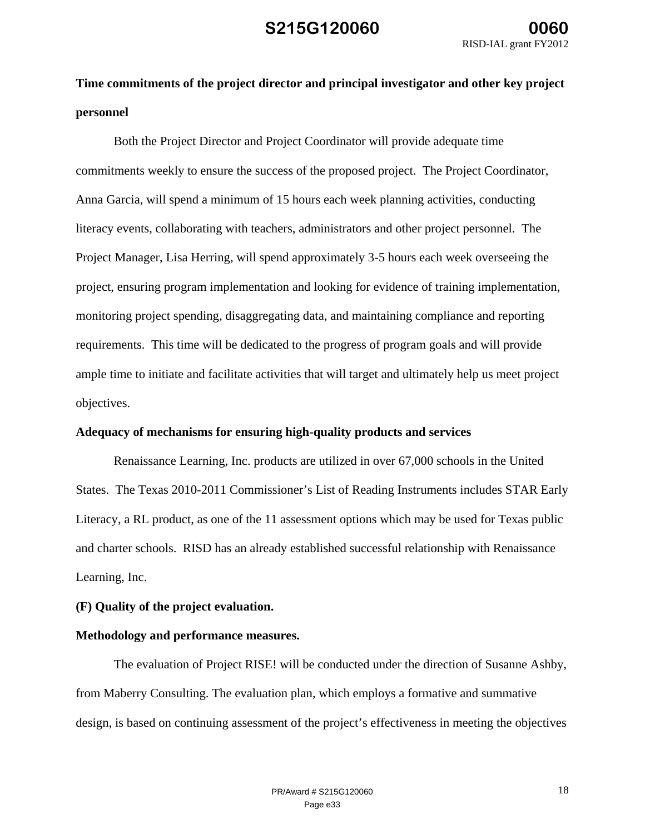# **Time commitments of the project director and principal investigator and other key project personnel**

Both the Project Director and Project Coordinator will provide adequate time commitments weekly to ensure the success of the proposed project. The Project Coordinator, Anna Garcia, will spend a minimum of 15 hours each week planning activities, conducting literacy events, collaborating with teachers, administrators and other project personnel. The Project Manager, Lisa Herring, will spend approximately 3-5 hours each week overseeing the project, ensuring program implementation and looking for evidence of training implementation, monitoring project spending, disaggregating data, and maintaining compliance and reporting requirements. This time will be dedicated to the progress of program goals and will provide ample time to initiate and facilitate activities that will target and ultimately help us meet project objectives.

#### **Adequacy of mechanisms for ensuring high-quality products and services**

Renaissance Learning, Inc. products are utilized in over 67,000 schools in the United States. The Texas 2010-2011 Commissioner's List of Reading Instruments includes STAR Early Literacy, a RL product, as one of the 11 assessment options which may be used for Texas public and charter schools. RISD has an already established successful relationship with Renaissance Learning, Inc.

### **(F) Quality of the project evaluation.**

### **Methodology and performance measures.**

The evaluation of Project RISE! will be conducted under the direction of Susanne Ashby, from Maberry Consulting. The evaluation plan, which employs a formative and summative design, is based on continuing assessment of the project's effectiveness in meeting the objectives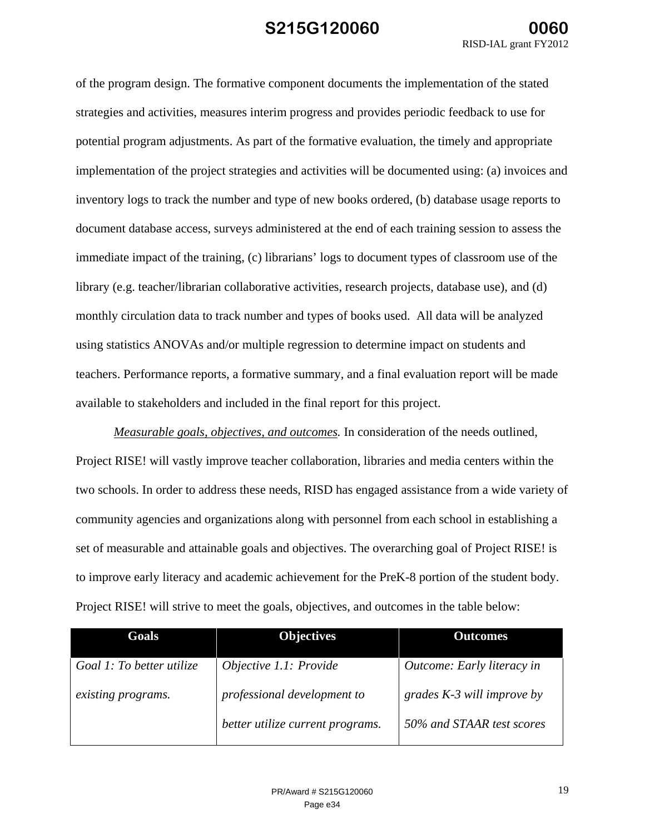of the program design. The formative component documents the implementation of the stated strategies and activities, measures interim progress and provides periodic feedback to use for potential program adjustments. As part of the formative evaluation, the timely and appropriate implementation of the project strategies and activities will be documented using: (a) invoices and inventory logs to track the number and type of new books ordered, (b) database usage reports to document database access, surveys administered at the end of each training session to assess the immediate impact of the training, (c) librarians' logs to document types of classroom use of the library (e.g. teacher/librarian collaborative activities, research projects, database use), and (d) monthly circulation data to track number and types of books used. All data will be analyzed using statistics ANOVAs and/or multiple regression to determine impact on students and teachers. Performance reports, a formative summary, and a final evaluation report will be made available to stakeholders and included in the final report for this project.

*Measurable goals, objectives, and outcomes.* In consideration of the needs outlined, Project RISE! will vastly improve teacher collaboration, libraries and media centers within the two schools. In order to address these needs, RISD has engaged assistance from a wide variety of community agencies and organizations along with personnel from each school in establishing a set of measurable and attainable goals and objectives. The overarching goal of Project RISE! is to improve early literacy and academic achievement for the PreK-8 portion of the student body. Project RISE! will strive to meet the goals, objectives, and outcomes in the table below:

| Goals                     | <b>Objectives</b>                | <b>Outcomes</b>              |
|---------------------------|----------------------------------|------------------------------|
| Goal 1: To better utilize | Objective 1.1: Provide           | Outcome: Early literacy in   |
| existing programs.        | professional development to      | grades $K-3$ will improve by |
|                           | better utilize current programs. | 50% and STAAR test scores    |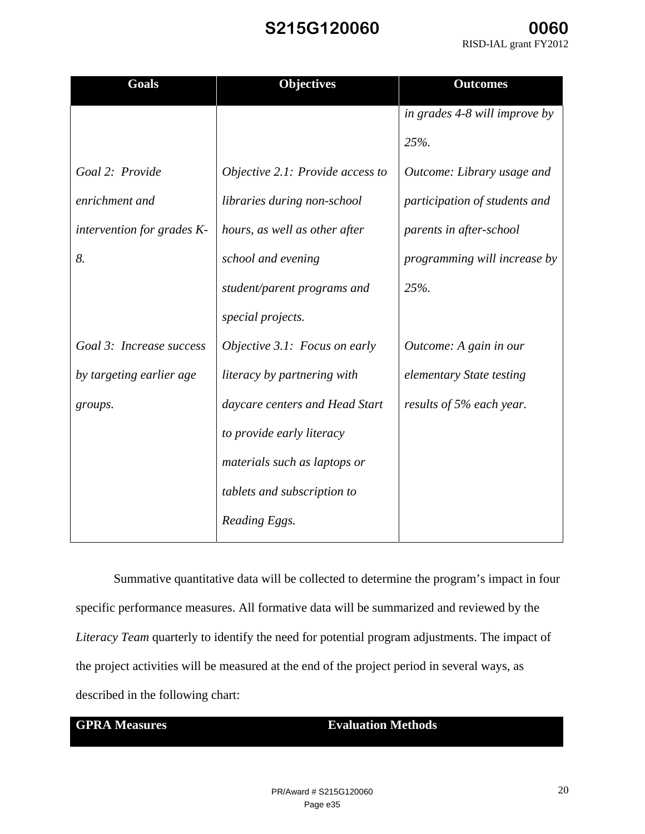| <b>Goals</b>               | <b>Objectives</b>                | <b>Outcomes</b>               |
|----------------------------|----------------------------------|-------------------------------|
|                            |                                  | in grades 4-8 will improve by |
|                            |                                  | 25%.                          |
| Goal 2: Provide            | Objective 2.1: Provide access to | Outcome: Library usage and    |
| enrichment and             | libraries during non-school      | participation of students and |
| intervention for grades K- | hours, as well as other after    | parents in after-school       |
| 8.                         | school and evening               | programming will increase by  |
|                            | student/parent programs and      | 25%.                          |
|                            | special projects.                |                               |
| Goal 3: Increase success   | Objective 3.1: Focus on early    | Outcome: A gain in our        |
| by targeting earlier age   | literacy by partnering with      | elementary State testing      |
| groups.                    | daycare centers and Head Start   | results of 5% each year.      |
|                            | to provide early literacy        |                               |
|                            | materials such as laptops or     |                               |
|                            | tablets and subscription to      |                               |
|                            | Reading Eggs.                    |                               |

Summative quantitative data will be collected to determine the program's impact in four specific performance measures. All formative data will be summarized and reviewed by the *Literacy Team* quarterly to identify the need for potential program adjustments. The impact of the project activities will be measured at the end of the project period in several ways, as described in the following chart:

### **GPRA Measures Evaluation Methods**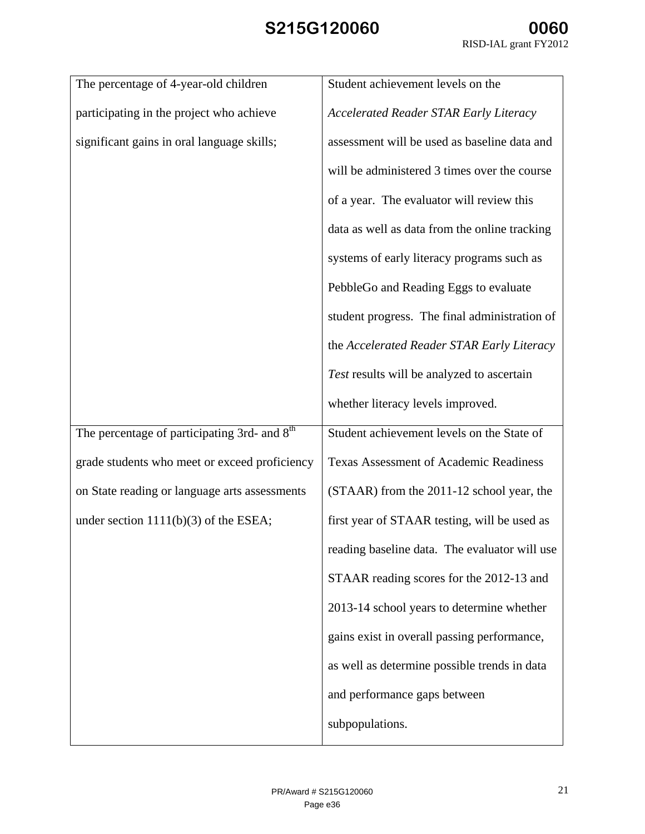| Student achievement levels on the             |
|-----------------------------------------------|
| <b>Accelerated Reader STAR Early Literacy</b> |
| assessment will be used as baseline data and  |
| will be administered 3 times over the course  |
| of a year. The evaluator will review this     |
| data as well as data from the online tracking |
| systems of early literacy programs such as    |
| PebbleGo and Reading Eggs to evaluate         |
| student progress. The final administration of |
| the Accelerated Reader STAR Early Literacy    |
| Test results will be analyzed to ascertain    |
| whether literacy levels improved.             |
| Student achievement levels on the State of    |
| <b>Texas Assessment of Academic Readiness</b> |
| (STAAR) from the 2011-12 school year, the     |
| first year of STAAR testing, will be used as  |
| reading baseline data. The evaluator will use |
| STAAR reading scores for the 2012-13 and      |
| 2013-14 school years to determine whether     |
| gains exist in overall passing performance,   |
| as well as determine possible trends in data  |
| and performance gaps between                  |
| subpopulations.                               |
|                                               |